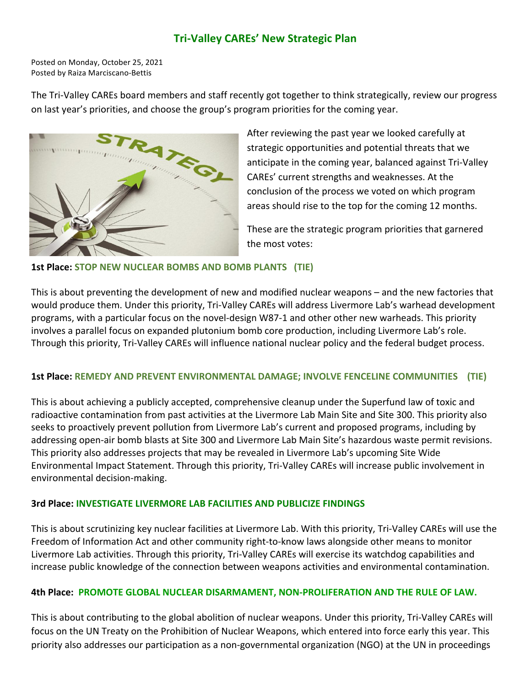# **Tri-Valley CAREs' New Strategic Plan**

Posted on Monday, October 25, 2021 Posted by Raiza Marciscano-Bettis

The Tri-Valley CAREs board members and staff recently got together to think strategically, review our progress on last year's priorities, and choose the group's program priorities for the coming year.



After reviewing the past year we looked carefully at strategic opportunities and potential threats that we anticipate in the coming year, balanced against Tri-Valley CAREs' current strengths and weaknesses. At the conclusion of the process we voted on which program areas should rise to the top for the coming 12 months.

These are the strategic program priorities that garnered the most votes:

# **1st Place: STOP NEW NUCLEAR BOMBS AND BOMB PLANTS (TIE)**

This is about preventing the development of new and modified nuclear weapons – and the new factories that would produce them. Under this priority, Tri-Valley CAREs will address Livermore Lab's warhead development programs, with a particular focus on the novel-design W87-1 and other other new warheads. This priority involves a parallel focus on expanded plutonium bomb core production, including Livermore Lab's role. Through this priority, Tri-Valley CAREs will influence national nuclear policy and the federal budget process.

### **1st Place: REMEDY AND PREVENT ENVIRONMENTAL DAMAGE; INVOLVE FENCELINE COMMUNITIES (TIE)**

This is about achieving a publicly accepted, comprehensive cleanup under the Superfund law of toxic and radioactive contamination from past activities at the Livermore Lab Main Site and Site 300. This priority also seeks to proactively prevent pollution from Livermore Lab's current and proposed programs, including by addressing open-air bomb blasts at Site 300 and Livermore Lab Main Site's hazardous waste permit revisions. This priority also addresses projects that may be revealed in Livermore Lab's upcoming Site Wide Environmental Impact Statement. Through this priority, Tri-Valley CAREs will increase public involvement in environmental decision-making.

### **3rd Place: INVESTIGATE LIVERMORE LAB FACILITIES AND PUBLICIZE FINDINGS**

This is about scrutinizing key nuclear facilities at Livermore Lab. With this priority, Tri-Valley CAREs will use the Freedom of Information Act and other community right-to-know laws alongside other means to monitor Livermore Lab activities. Through this priority, Tri-Valley CAREs will exercise its watchdog capabilities and increase public knowledge of the connection between weapons activities and environmental contamination.

### **4th Place: PROMOTE GLOBAL NUCLEAR DISARMAMENT, NON-PROLIFERATION AND THE RULE OF LAW.**

This is about contributing to the global abolition of nuclear weapons. Under this priority, Tri-Valley CAREs will focus on the UN Treaty on the Prohibition of Nuclear Weapons, which entered into force early this year. This priority also addresses our participation as a non-governmental organization (NGO) at the UN in proceedings